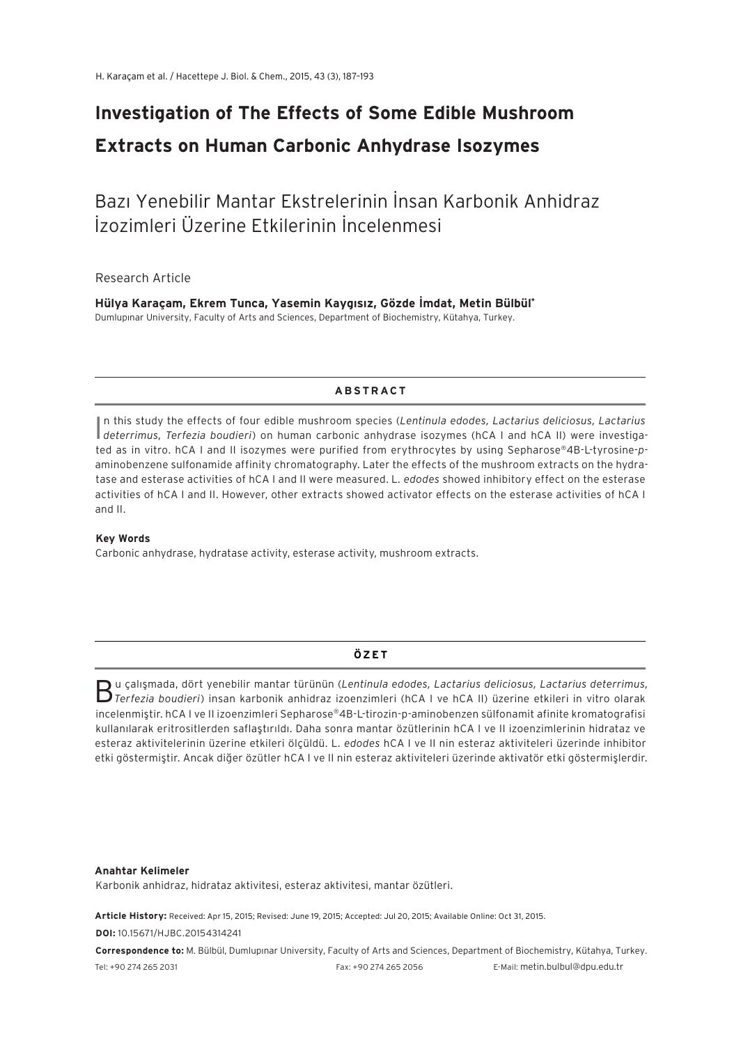# **Investigation of The Effects of Some Edible Mushroom Extracts on Human Carbonic Anhydrase Isozymes**

## Bazı Yenebilir Mantar Ekstrelerinin İnsan Karbonik Anhidraz İzozimleri Üzerine Etkilerinin İncelenmesi

Research Article

**Hülya Karaçam, Ekrem Tunca, Yasemin Kaygısız, Gözde İmdat, Metin Bülbül\*** Dumlupınar University, Faculty of Arts and Sciences, Department of Biochemistry, Kütahya, Turkey.

#### **ABSTRACT**

I *deterrimus, Terfezia boudieri*) on human carbonic anhydrase isozymes (hCA I and hCA II) were investigan this study the effects of four edible mushroom species (*Lentinula edodes, Lactarius deliciosus, Lactarius*  ted as in vitro. hCA I and II isozymes were purified from erythrocytes by using Sepharose®4B-L-tyrosine-*p*aminobenzene sulfonamide affinity chromatography. Later the effects of the mushroom extracts on the hydratase and esterase activities of hCA I and II were measured. L*. edodes* showed inhibitory effect on the esterase activities of hCA I and II. However, other extracts showed activator effects on the esterase activities of hCA I and II.

#### **Key Words**

Carbonic anhydrase, hydratase activity, esterase activity, mushroom extracts.

## **ÖZET**

 $B$ u çalışmada, dört yenebilir mantar türünün (Lentinula edodes, Lactarius deliciosus, Lactarius deterrimus, Trerfezia boudieri) insan karbonik anhidraz izoenzimleri (hCA I ve hCA II) üzerine etkileri in vitro olarak incelenmiştir. hCA I ve II izoenzimleri Sepharose®4B-L-tirozin-p-aminobenzen sülfonamit afinite kromatografisi kullanılarak eritrositlerden saflaştırıldı. Daha sonra mantar özütlerinin hCA I ve II izoenzimlerinin hidrataz ve esteraz aktivitelerinin üzerine etkileri ölçüldü. L*. edodes* hCA I ve II nin esteraz aktiviteleri üzerinde inhibitor etki göstermiştir. Ancak diğer özütler hCA I ve II nin esteraz aktiviteleri üzerinde aktivatör etki göstermişlerdir.

#### **Anahtar Kelimeler**

Karbonik anhidraz, hidrataz aktivitesi, esteraz aktivitesi, mantar özütleri.

**Article History:** Received: Apr 15, 2015; Revised: June 19, 2015; Accepted: Jul 20, 2015; Available Online: Oct 31, 2015. **DOI:** 10.15671/HJBC.20154314241

**Correspondence to:** M. Bülbül, Dumlupınar University, Faculty of Arts and Sciences, Department of Biochemistry, Kütahya, Turkey. Tel: +90 274 265 2031 Fax: +90 274 265 2056 E-Mail: metin.bulbul@dpu.edu.tr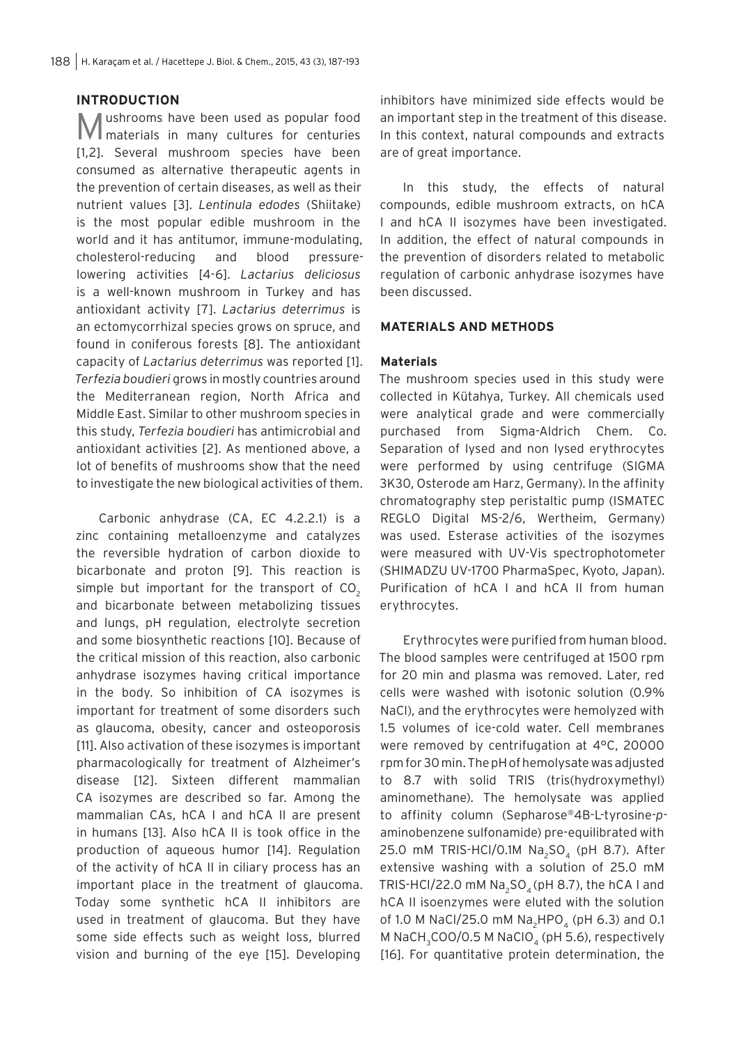## **INTRODUCTION**

Mushrooms have been used as popular food materials in many cultures for centuries [1,2]. Several mushroom species have been consumed as alternative therapeutic agents in the prevention of certain diseases, as well as their nutrient values [3]. *Lentinula edodes* (Shiitake) is the most popular edible mushroom in the world and it has antitumor, immune-modulating, cholesterol-reducing and blood pressurelowering activities [4-6]. *Lactarius deliciosus*  is a well-known mushroom in Turkey and has antioxidant activity [7]. *Lactarius deterrimus* is an ectomycorrhizal species grows on spruce, and found in coniferous forests [8]. The antioxidant capacity of *Lactarius deterrimus* was reported [1]. *Terfezia boudieri* grows in mostly countries around the Mediterranean region, North Africa and Middle East. Similar to other mushroom species in this study, *Terfezia boudieri* has antimicrobial and antioxidant activities [2]. As mentioned above, a lot of benefits of mushrooms show that the need to investigate the new biological activities of them.

Carbonic anhydrase (CA, EC 4.2.2.1) is a zinc containing metalloenzyme and catalyzes the reversible hydration of carbon dioxide to bicarbonate and proton [9]. This reaction is simple but important for the transport of  $CO<sub>2</sub>$ and bicarbonate between metabolizing tissues and lungs, pH regulation, electrolyte secretion and some biosynthetic reactions [10]. Because of the critical mission of this reaction, also carbonic anhydrase isozymes having critical importance in the body. So inhibition of CA isozymes is important for treatment of some disorders such as glaucoma, obesity, cancer and osteoporosis [11]. Also activation of these isozymes is important pharmacologically for treatment of Alzheimer's disease [12]. Sixteen different mammalian CA isozymes are described so far. Among the mammalian CAs, hCA I and hCA II are present in humans [13]. Also hCA II is took office in the production of aqueous humor [14]. Regulation of the activity of hCA II in ciliary process has an important place in the treatment of glaucoma. Today some synthetic hCA II inhibitors are used in treatment of glaucoma. But they have some side effects such as weight loss, blurred vision and burning of the eye [15]. Developing

inhibitors have minimized side effects would be an important step in the treatment of this disease. In this context, natural compounds and extracts are of great importance.

In this study, the effects of natural compounds, edible mushroom extracts, on hCA I and hCA II isozymes have been investigated. In addition, the effect of natural compounds in the prevention of disorders related to metabolic regulation of carbonic anhydrase isozymes have been discussed.

## **MATERIALS AND METHODS**

### **Materials**

The mushroom species used in this study were collected in Kütahya, Turkey. All chemicals used were analytical grade and were commercially purchased from Sigma-Aldrich Chem. Co. Separation of lysed and non lysed erythrocytes were performed by using centrifuge (SIGMA 3K30, Osterode am Harz, Germany). In the affinity chromatography step peristaltic pump (ISMATEC REGLO Digital MS-2/6, Wertheim, Germany) was used. Esterase activities of the isozymes were measured with UV-Vis spectrophotometer (SHIMADZU UV-1700 PharmaSpec, Kyoto, Japan). Purification of hCA I and hCA II from human erythrocytes.

Erythrocytes were purified from human blood. The blood samples were centrifuged at 1500 rpm for 20 min and plasma was removed. Later, red cells were washed with isotonic solution (0.9% NaCl), and the erythrocytes were hemolyzed with 1.5 volumes of ice-cold water. Cell membranes were removed by centrifugation at 4°C, 20000 rpm for 30 min. The pH of hemolysate was adjusted to 8.7 with solid TRIS (tris(hydroxymethyl) aminomethane). The hemolysate was applied to affinity column (Sepharose®4B-L-tyrosine-*p*aminobenzene sulfonamide) pre-equilibrated with 25.0 mM TRIS-HCI/0.1M  $Na<sub>2</sub>SO<sub>4</sub>$  (pH 8.7). After extensive washing with a solution of 25.0 mM TRIS-HCI/22.0 mM  $Na<sub>2</sub>SO<sub>4</sub>$  (pH 8.7), the hCA I and hCA II isoenzymes were eluted with the solution of 1.0 M NaCl/25.0 mM Na<sub>2</sub>HPO<sub>4</sub> (pH 6.3) and 0.1 M NaCH<sub>3</sub>COO/0.5 M NaClO<sub>4</sub> (pH 5.6), respectively [16]. For quantitative protein determination, the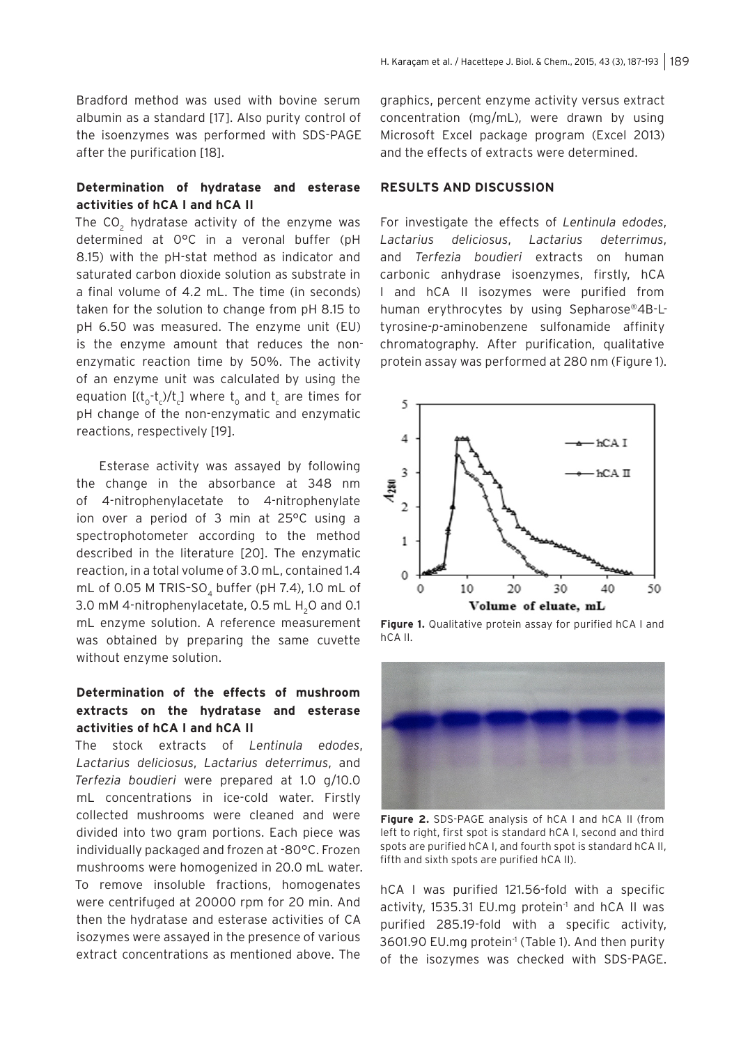Bradford method was used with bovine serum albumin as a standard [17]. Also purity control of the isoenzymes was performed with SDS-PAGE after the purification [18].

#### **Determination of hydratase and esterase activities of hCA I and hCA II**

The CO<sub>2</sub> hydratase activity of the enzyme was determined at 0°C in a veronal buffer (pH 8.15) with the pH-stat method as indicator and saturated carbon dioxide solution as substrate in a final volume of 4.2 mL. The time (in seconds) taken for the solution to change from pH 8.15 to pH 6.50 was measured. The enzyme unit (EU) is the enzyme amount that reduces the nonenzymatic reaction time by 50%. The activity of an enzyme unit was calculated by using the equation [(t $_{\mathrm{o}}$ -t $_{\mathrm{c}}$ )/t $_{\mathrm{c}}$ ] where  $\mathrm{t_{o}}$  and  $\mathrm{t_{c}}$  are times for pH change of the non-enzymatic and enzymatic reactions, respectively [19].

Esterase activity was assayed by following the change in the absorbance at 348 nm of 4-nitrophenylacetate to 4-nitrophenylate ion over a period of 3 min at 25°C using a spectrophotometer according to the method described in the literature [20]. The enzymatic reaction, in a total volume of 3.0 mL, contained 1.4 mL of 0.05 M TRIS-SO<sub>4</sub> buffer (pH 7.4), 1.0 mL of 3.0 mM 4-nitrophenylacetate, 0.5 mL H<sub>2</sub>O and 0.1 mL enzyme solution. A reference measurement was obtained by preparing the same cuvette without enzyme solution.

## **Determination of the effects of mushroom extracts on the hydratase and esterase activities of hCA I and hCA II**

The stock extracts of *Lentinula edodes*, *Lactarius deliciosus*, *Lactarius deterrimus*, and *Terfezia boudieri* were prepared at 1.0 g/10.0 mL concentrations in ice-cold water. Firstly collected mushrooms were cleaned and were divided into two gram portions. Each piece was individually packaged and frozen at -80°C. Frozen mushrooms were homogenized in 20.0 mL water. To remove insoluble fractions, homogenates were centrifuged at 20000 rpm for 20 min. And then the hydratase and esterase activities of CA isozymes were assayed in the presence of various extract concentrations as mentioned above. The

graphics, percent enzyme activity versus extract concentration (mg/mL), were drawn by using Microsoft Excel package program (Excel 2013) and the effects of extracts were determined.

#### **RESULTS AND DISCUSSION**

For investigate the effects of *Lentinula edodes*, *Lactarius deliciosus*, *Lactarius deterrimus*, and *Terfezia boudieri* extracts on human carbonic anhydrase isoenzymes, firstly, hCA I and hCA II isozymes were purified from human erythrocytes by using Sepharose®4B-Ltyrosine-*p*-aminobenzene sulfonamide affinity chromatography. After purification, qualitative protein assay was performed at 280 nm (Figure 1).



**Figure 1.** Qualitative protein assay for purified hCA I and hCA II.



**Figure 2.** SDS-PAGE analysis of hCA I and hCA II (from left to right, first spot is standard hCA I, second and third spots are purified hCA I, and fourth spot is standard hCA II, fifth and sixth spots are purified hCA II).

hCA I was purified 121.56-fold with a specific activity, 1535.31 EU.mg protein<sup>-1</sup> and hCA II was purified 285.19-fold with a specific activity, 3601.90 EU.mg protein<sup>-1</sup> (Table 1). And then purity of the isozymes was checked with SDS-PAGE.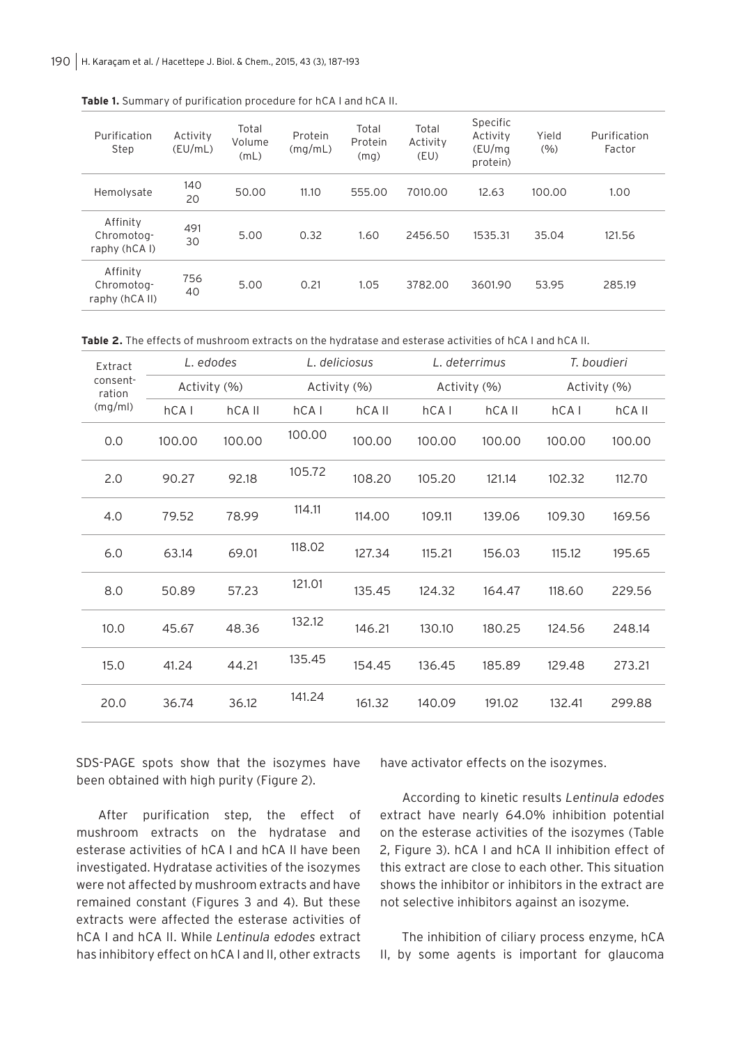| Purification<br>Step                     | Activity<br>(EU/mL) | Total<br>Volume<br>(mL) | Protein<br>(mq/mL) | Total<br>Protein<br>(mq) | Total<br>Activity<br>(EU) | Specific<br>Activity<br>(EU/mq)<br>protein) | Yield<br>(9/6) | Purification<br>Factor |
|------------------------------------------|---------------------|-------------------------|--------------------|--------------------------|---------------------------|---------------------------------------------|----------------|------------------------|
| Hemolysate                               | 140<br>20           | 50.00                   | 11.10              | 555.00                   | 7010.00                   | 12.63                                       | 100.00         | 1.00                   |
| Affinity<br>Chromotog-<br>raphy (hCAI)   | 491<br>30           | 5.00                    | 0.32               | 1.60                     | 2456.50                   | 1535.31                                     | 35.04          | 121.56                 |
| Affinity<br>Chromotog-<br>raphy (hCA II) | 756<br>40           | 5.00                    | 0.21               | 1.05                     | 3782.00                   | 3601.90                                     | 53.95          | 285.19                 |

**Table 1.** Summary of purification procedure for hCA I and hCA II.

Table 2. The effects of mushroom extracts on the hydratase and esterase activities of hCA I and hCA II.

| Extract<br>consent-<br>ration<br>(mq/ml) | L. edodes    |        | L. deliciosus |        | L. deterrimus |        | T. boudieri  |        |
|------------------------------------------|--------------|--------|---------------|--------|---------------|--------|--------------|--------|
|                                          | Activity (%) |        | Activity (%)  |        | Activity (%)  |        | Activity (%) |        |
|                                          | hCA          | hCA II | hCAI          | hCA II | hCA           | hCA II | hCA          | hCA II |
| 0.0                                      | 100.00       | 100.00 | 100.00        | 100.00 | 100.00        | 100.00 | 100.00       | 100.00 |
| 2.0                                      | 90.27        | 92.18  | 105.72        | 108.20 | 105.20        | 121.14 | 102.32       | 112.70 |
| 4.0                                      | 79.52        | 78.99  | 114.11        | 114.00 | 109.11        | 139.06 | 109.30       | 169.56 |
| 6.0                                      | 63.14        | 69.01  | 118.02        | 127.34 | 115.21        | 156.03 | 115.12       | 195.65 |
| 8.0                                      | 50.89        | 57.23  | 121.01        | 135.45 | 124.32        | 164.47 | 118.60       | 229.56 |
| 10.0                                     | 45.67        | 48.36  | 132.12        | 146.21 | 130.10        | 180.25 | 124.56       | 248.14 |
| 15.0                                     | 41.24        | 44.21  | 135.45        | 154.45 | 136.45        | 185.89 | 129.48       | 273.21 |
| 20.0                                     | 36.74        | 36.12  | 141.24        | 161.32 | 140.09        | 191.02 | 132.41       | 299.88 |

SDS-PAGE spots show that the isozymes have been obtained with high purity (Figure 2).

After purification step, the effect of mushroom extracts on the hydratase and esterase activities of hCA I and hCA II have been investigated. Hydratase activities of the isozymes were not affected by mushroom extracts and have remained constant (Figures 3 and 4). But these extracts were affected the esterase activities of hCA I and hCA II. While *Lentinula edodes* extract has inhibitory effect on hCA I and II, other extracts

have activator effects on the isozymes.

According to kinetic results *Lentinula edodes*  extract have nearly 64.0% inhibition potential on the esterase activities of the isozymes (Table 2, Figure 3). hCA I and hCA II inhibition effect of this extract are close to each other. This situation shows the inhibitor or inhibitors in the extract are not selective inhibitors against an isozyme.

The inhibition of ciliary process enzyme, hCA II, by some agents is important for glaucoma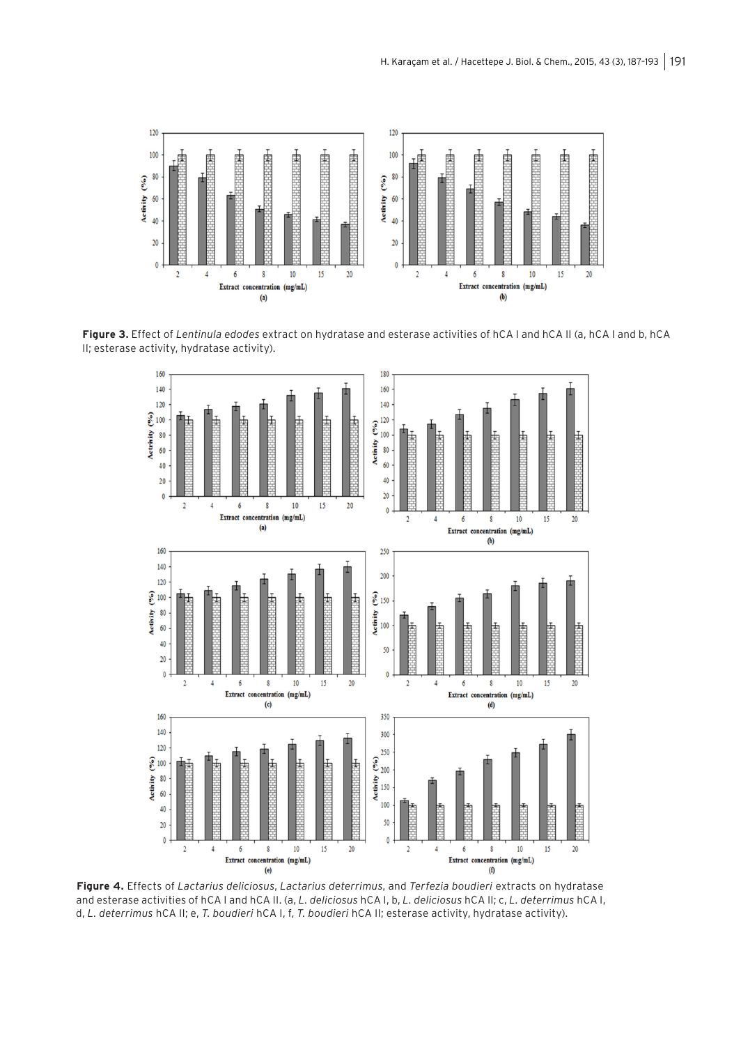

**Figure 3.** Effect of *Lentinula edodes* extract on hydratase and esterase activities of hCA I and hCA II (a, hCA I and b, hCA II; esterase activity, hydratase activity).



**Figure 4.** Effects of *Lactarius deliciosus*, *Lactarius deterrimus*, and *Terfezia boudieri* extracts on hydratase and esterase activities of hCA I and hCA II. (a, *L. deliciosus* hCA I, b, *L. deliciosus* hCA II; c, *L. deterrimus* hCA I, d, *L. deterrimus* hCA II; e, *T. boudieri* hCA I, f, *T. boudieri* hCA II; esterase activity, hydratase activity).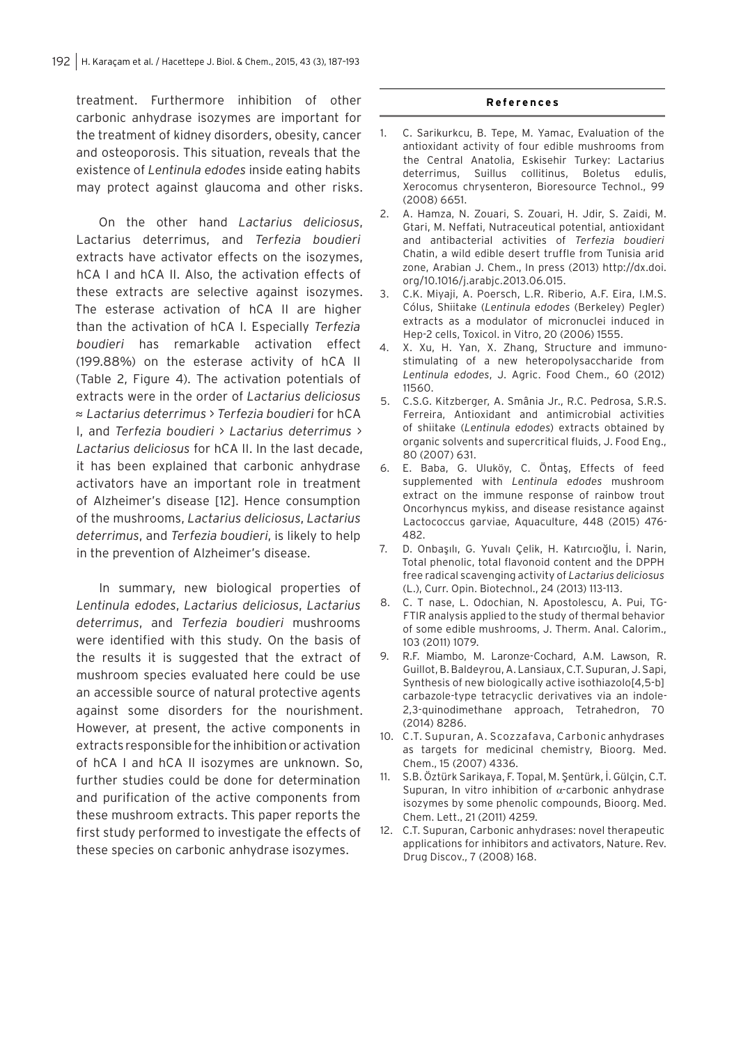treatment. Furthermore inhibition of other carbonic anhydrase isozymes are important for the treatment of kidney disorders, obesity, cancer and osteoporosis. This situation, reveals that the existence of *Lentinula edodes* inside eating habits may protect against glaucoma and other risks.

On the other hand *Lactarius deliciosus*, Lactarius deterrimus, and *Terfezia boudieri*  extracts have activator effects on the isozymes, hCA I and hCA II. Also, the activation effects of these extracts are selective against isozymes. The esterase activation of hCA II are higher than the activation of hCA I. Especially *Terfezia boudieri* has remarkable activation effect (199.88%) on the esterase activity of hCA II (Table 2, Figure 4). The activation potentials of extracts were in the order of *Lactarius deliciosus*  ≈ *Lactarius deterrimus* > *Terfezia boudieri* for hCA I, and *Terfezia boudieri* > *Lactarius deterrimus* > *Lactarius deliciosus* for hCA II. In the last decade, it has been explained that carbonic anhydrase activators have an important role in treatment of Alzheimer's disease [12]. Hence consumption of the mushrooms, *Lactarius deliciosus*, *Lactarius deterrimus*, and *Terfezia boudieri*, is likely to help in the prevention of Alzheimer's disease.

In summary, new biological properties of *Lentinula edodes*, *Lactarius deliciosus*, *Lactarius deterrimus*, and *Terfezia boudieri* mushrooms were identified with this study. On the basis of the results it is suggested that the extract of mushroom species evaluated here could be use an accessible source of natural protective agents against some disorders for the nourishment. However, at present, the active components in extracts responsible for the inhibition or activation of hCA I and hCA II isozymes are unknown. So, further studies could be done for determination and purification of the active components from these mushroom extracts. This paper reports the first study performed to investigate the effects of these species on carbonic anhydrase isozymes.

#### **References**

- 1. C. Sarikurkcu, B. Tepe, M. Yamac, Evaluation of the antioxidant activity of four edible mushrooms from the Central Anatolia, Eskisehir Turkey: Lactarius deterrimus, Suillus collitinus, Boletus edulis, Xerocomus chrysenteron, Bioresource Technol., 99 (2008) 6651.
- 2. A. Hamza, N. Zouari, S. Zouari, H. Jdir, S. Zaidi, M. Gtari, M. Neffati, Nutraceutical potential, antioxidant and antibacterial activities of *Terfezia boudieri*  Chatin, a wild edible desert truffle from Tunisia arid zone, Arabian J. Chem., In press (2013) http://dx.doi. org/10.1016/j.arabjc.2013.06.015.
- 3. C.K. Miyaji, A. Poersch, L.R. Riberio, A.F. Eira, I.M.S. Cólus, Shiitake (*Lentinula edodes* (Berkeley) Pegler) extracts as a modulator of micronuclei induced in Hep-2 cells, Toxicol. in Vitro, 20 (2006) 1555.
- 4. X. Xu, H. Yan, X. Zhang, Structure and immunostimulating of a new heteropolysaccharide from *Lentinula edodes*, J. Agric. Food Chem., 60 (2012) 11560.
- 5. C.S.G. Kitzberger, A. Smânia Jr., R.C. Pedrosa, S.R.S. Ferreira, Antioxidant and antimicrobial activities of shiitake (*Lentinula edodes*) extracts obtained by organic solvents and supercritical fluids, J. Food Eng., 80 (2007) 631.
- 6. E. Baba, G. Uluköy, C. Öntaş, Effects of feed supplemented with *Lentinula edodes* mushroom extract on the immune response of rainbow trout Oncorhyncus mykiss, and disease resistance against Lactococcus garviae, Aquaculture, 448 (2015) 476- 482.
- 7. D. Onbaşılı, G. Yuvalı Çelik, H. Katırcıoğlu, İ. Narin, Total phenolic, total flavonoid content and the DPPH free radical scavenging activity of *Lactarius deliciosus*  (L.), Curr. Opin. Biotechnol., 24 (2013) 113-113.
- 8. C. T nase, L. Odochian, N. Apostolescu, A. Pui, TG-FTIR analysis applied to the study of thermal behavior of some edible mushrooms, J. Therm. Anal. Calorim., 103 (2011) 1079.
- 9. R.F. Miambo, M. Laronze-Cochard, A.M. Lawson, R. Guillot, B. Baldeyrou, A. Lansiaux, C.T. Supuran, J. Sapi, Synthesis of new biologically active isothiazolo[4,5-b] carbazole-type tetracyclic derivatives via an indole-2,3-quinodimethane approach, Tetrahedron, 70 (2014) 8286.
- 10. C.T. Supuran, A. Scozzafava, Carbonic anhydrases as targets for medicinal chemistry, Bioorg. Med. Chem., 15 (2007) 4336.
- 11. S.B. Öztürk Sarikaya, F. Topal, M. Şentürk, İ. Gülçin, C.T. Supuran, In vitro inhibition of  $\alpha$ -carbonic anhydrase isozymes by some phenolic compounds, Bioorg. Med. Chem. Lett., 21 (2011) 4259.
- 12. C.T. Supuran, Carbonic anhydrases: novel therapeutic applications for inhibitors and activators, Nature. Rev. Drug Discov., 7 (2008) 168.